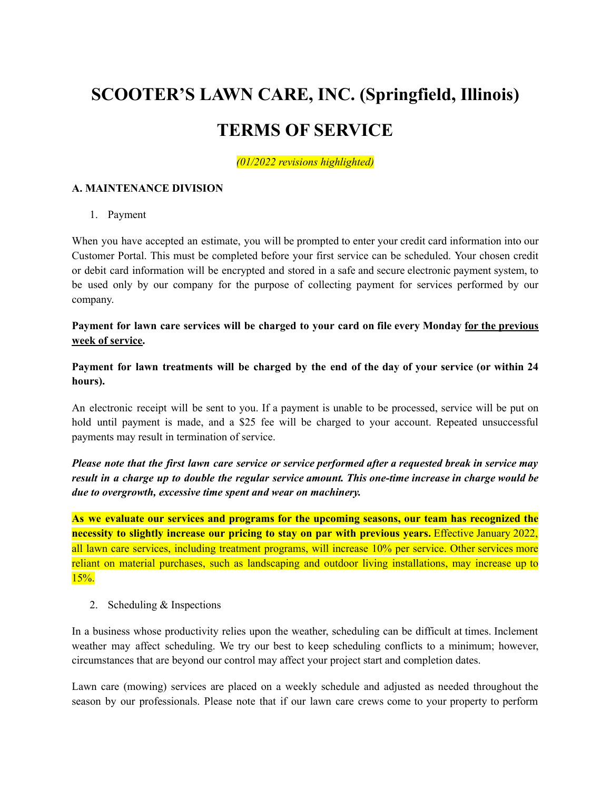# **SCOOTER'S LAWN CARE, INC. (Springfield, Illinois)**

# **TERMS OF SERVICE**

*(01/2022 revisions highlighted)*

#### **A. MAINTENANCE DIVISION**

1. Payment

When you have accepted an estimate, you will be prompted to enter your credit card information into our Customer Portal. This must be completed before your first service can be scheduled. Your chosen credit or debit card information will be encrypted and stored in a safe and secure electronic payment system, to be used only by our company for the purpose of collecting payment for services performed by our company.

**Payment for lawn care services will be charged to your card on file every Monday for the previous week of service.**

Payment for lawn treatments will be charged by the end of the day of your service (or within 24 **hours).**

An electronic receipt will be sent to you. If a payment is unable to be processed, service will be put on hold until payment is made, and a \$25 fee will be charged to your account. Repeated unsuccessful payments may result in termination of service.

Please note that the first lawn care service or service performed after a requested break in service may result in a charge up to double the regular service amount. This one-time increase in charge would be *due to overgrowth, excessive time spent and wear on machinery.*

**As we evaluate our services and programs for the upcoming seasons, our team has recognized the necessity to slightly increase our pricing to stay on par with previous years.** Effective January 2022, all lawn care services, including treatment programs, will increase 10% per service. Other services more reliant on material purchases, such as landscaping and outdoor living installations, may increase up to  $15%$ .

2. Scheduling & Inspections

In a business whose productivity relies upon the weather, scheduling can be difficult at times. Inclement weather may affect scheduling. We try our best to keep scheduling conflicts to a minimum; however, circumstances that are beyond our control may affect your project start and completion dates.

Lawn care (mowing) services are placed on a weekly schedule and adjusted as needed throughout the season by our professionals. Please note that if our lawn care crews come to your property to perform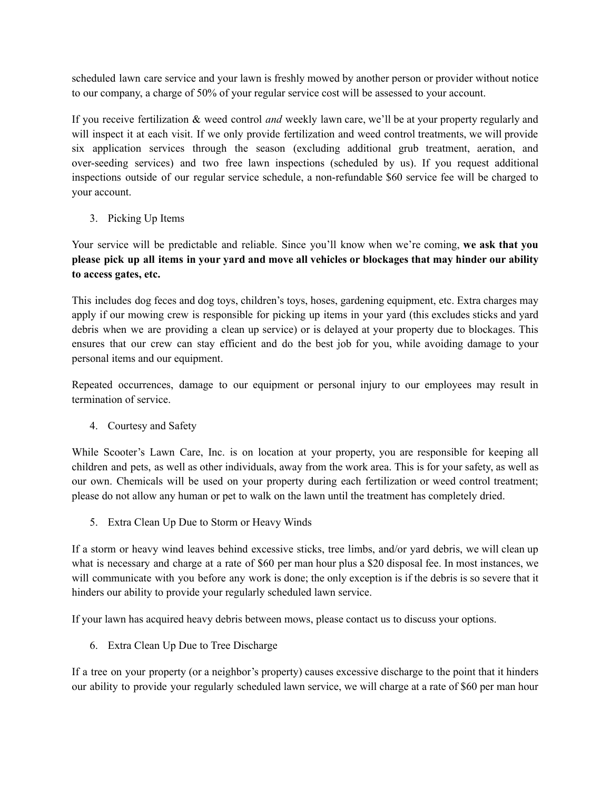scheduled lawn care service and your lawn is freshly mowed by another person or provider without notice to our company, a charge of 50% of your regular service cost will be assessed to your account.

If you receive fertilization & weed control *and* weekly lawn care, we'll be at your property regularly and will inspect it at each visit. If we only provide fertilization and weed control treatments, we will provide six application services through the season (excluding additional grub treatment, aeration, and over-seeding services) and two free lawn inspections (scheduled by us). If you request additional inspections outside of our regular service schedule, a non-refundable \$60 service fee will be charged to your account.

3. Picking Up Items

Your service will be predictable and reliable. Since you'll know when we're coming, **we ask that you** please pick up all items in your yard and move all vehicles or blockages that may hinder our ability **to access gates, etc.**

This includes dog feces and dog toys, children's toys, hoses, gardening equipment, etc. Extra charges may apply if our mowing crew is responsible for picking up items in your yard (this excludes sticks and yard debris when we are providing a clean up service) or is delayed at your property due to blockages. This ensures that our crew can stay efficient and do the best job for you, while avoiding damage to your personal items and our equipment.

Repeated occurrences, damage to our equipment or personal injury to our employees may result in termination of service.

4. Courtesy and Safety

While Scooter's Lawn Care, Inc. is on location at your property, you are responsible for keeping all children and pets, as well as other individuals, away from the work area. This is for your safety, as well as our own. Chemicals will be used on your property during each fertilization or weed control treatment; please do not allow any human or pet to walk on the lawn until the treatment has completely dried.

5. Extra Clean Up Due to Storm or Heavy Winds

If a storm or heavy wind leaves behind excessive sticks, tree limbs, and/or yard debris, we will clean up what is necessary and charge at a rate of \$60 per man hour plus a \$20 disposal fee. In most instances, we will communicate with you before any work is done; the only exception is if the debris is so severe that it hinders our ability to provide your regularly scheduled lawn service.

If your lawn has acquired heavy debris between mows, please contact us to discuss your options.

6. Extra Clean Up Due to Tree Discharge

If a tree on your property (or a neighbor's property) causes excessive discharge to the point that it hinders our ability to provide your regularly scheduled lawn service, we will charge at a rate of \$60 per man hour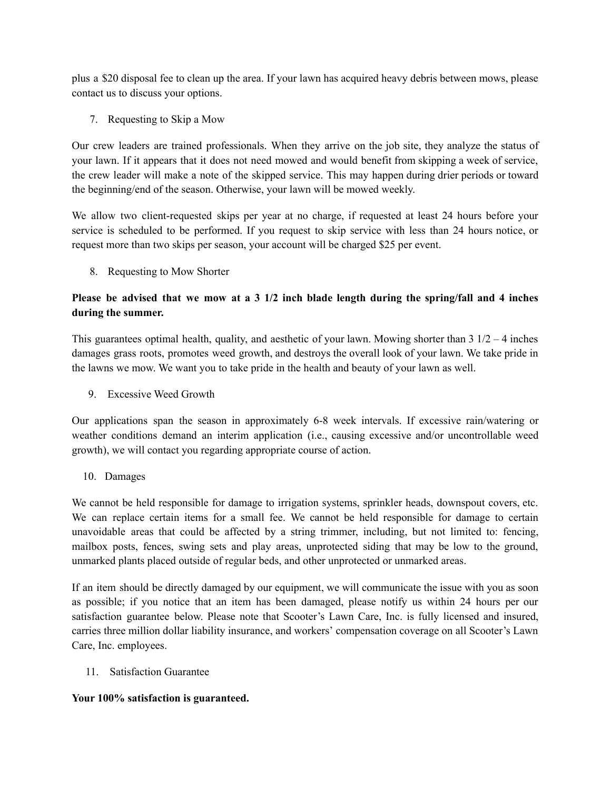plus a \$20 disposal fee to clean up the area. If your lawn has acquired heavy debris between mows, please contact us to discuss your options.

7. Requesting to Skip a Mow

Our crew leaders are trained professionals. When they arrive on the job site, they analyze the status of your lawn. If it appears that it does not need mowed and would benefit from skipping a week of service, the crew leader will make a note of the skipped service. This may happen during drier periods or toward the beginning/end of the season. Otherwise, your lawn will be mowed weekly.

We allow two client-requested skips per year at no charge, if requested at least 24 hours before your service is scheduled to be performed. If you request to skip service with less than 24 hours notice, or request more than two skips per season, your account will be charged \$25 per event.

8. Requesting to Mow Shorter

### Please be advised that we mow at a 3  $1/2$  inch blade length during the spring/fall and 4 inches **during the summer.**

This guarantees optimal health, quality, and aesthetic of your lawn. Mowing shorter than  $3 \frac{1}{2} - 4$  inches damages grass roots, promotes weed growth, and destroys the overall look of your lawn. We take pride in the lawns we mow. We want you to take pride in the health and beauty of your lawn as well.

9. Excessive Weed Growth

Our applications span the season in approximately 6-8 week intervals. If excessive rain/watering or weather conditions demand an interim application (i.e., causing excessive and/or uncontrollable weed growth), we will contact you regarding appropriate course of action.

10. Damages

We cannot be held responsible for damage to irrigation systems, sprinkler heads, downspout covers, etc. We can replace certain items for a small fee. We cannot be held responsible for damage to certain unavoidable areas that could be affected by a string trimmer, including, but not limited to: fencing, mailbox posts, fences, swing sets and play areas, unprotected siding that may be low to the ground, unmarked plants placed outside of regular beds, and other unprotected or unmarked areas.

If an item should be directly damaged by our equipment, we will communicate the issue with you as soon as possible; if you notice that an item has been damaged, please notify us within 24 hours per our satisfaction guarantee below. Please note that Scooter's Lawn Care, Inc. is fully licensed and insured, carries three million dollar liability insurance, and workers' compensation coverage on all Scooter's Lawn Care, Inc. employees.

11. Satisfaction Guarantee

#### **Your 100% satisfaction is guaranteed.**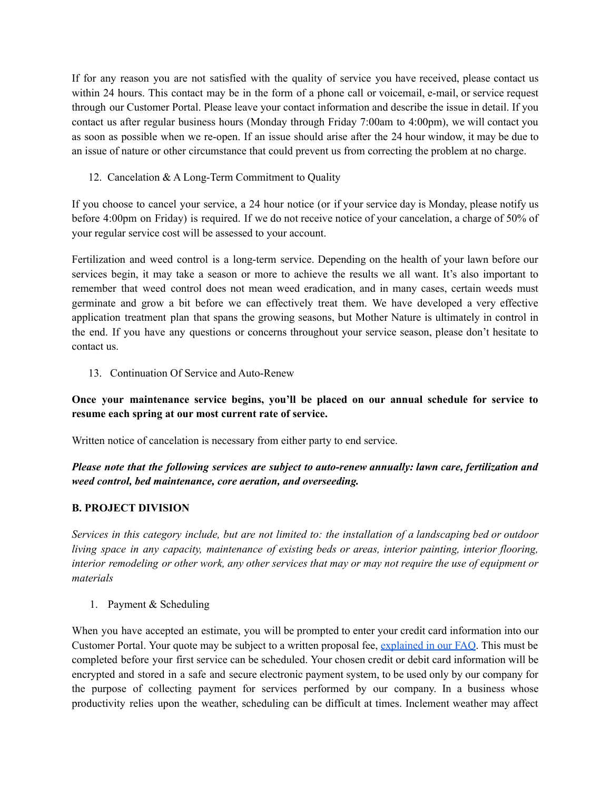If for any reason you are not satisfied with the quality of service you have received, please contact us within 24 hours. This contact may be in the form of a phone call or voicemail, e-mail, or service request through our Customer Portal. Please leave your contact information and describe the issue in detail. If you contact us after regular business hours (Monday through Friday 7:00am to 4:00pm), we will contact you as soon as possible when we re-open. If an issue should arise after the 24 hour window, it may be due to an issue of nature or other circumstance that could prevent us from correcting the problem at no charge.

12. Cancelation & A Long-Term Commitment to Quality

If you choose to cancel your service, a 24 hour notice (or if your service day is Monday, please notify us before 4:00pm on Friday) is required. If we do not receive notice of your cancelation, a charge of 50% of your regular service cost will be assessed to your account.

Fertilization and weed control is a long-term service. Depending on the health of your lawn before our services begin, it may take a season or more to achieve the results we all want. It's also important to remember that weed control does not mean weed eradication, and in many cases, certain weeds must germinate and grow a bit before we can effectively treat them. We have developed a very effective application treatment plan that spans the growing seasons, but Mother Nature is ultimately in control in the end. If you have any questions or concerns throughout your service season, please don't hesitate to contact us.

13. Continuation Of Service and Auto-Renew

## **Once your maintenance service begins, you'll be placed on our annual schedule for service to resume each spring at our most current rate of service.**

Written notice of cancelation is necessary from either party to end service.

*Please note that the following services are subject to auto-renew annually: lawn care, fertilization and weed control, bed maintenance, core aeration, and overseeding.*

#### **B. PROJECT DIVISION**

Services in this category include, but are not limited to: the installation of a landscaping bed or outdoor *living space in any capacity, maintenance of existing beds or areas, interior painting, interior flooring,* interior remodeling or other work, any other services that may or may not require the use of equipment or *materials*

1. Payment & Scheduling

When you have accepted an estimate, you will be prompted to enter your credit card information into our Customer Portal. Your quote may be subject to a written proposal fee, [explained](https://scooterslawncare.com/faq/) in our FAQ. This must be completed before your first service can be scheduled. Your chosen credit or debit card information will be encrypted and stored in a safe and secure electronic payment system, to be used only by our company for the purpose of collecting payment for services performed by our company. In a business whose productivity relies upon the weather, scheduling can be difficult at times. Inclement weather may affect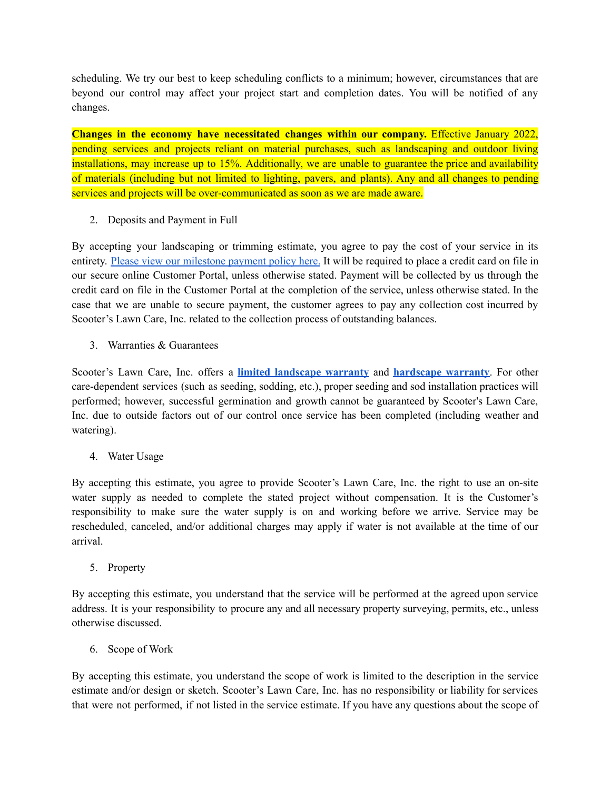scheduling. We try our best to keep scheduling conflicts to a minimum; however, circumstances that are beyond our control may affect your project start and completion dates. You will be notified of any changes.

**Changes in the economy have necessitated changes within our company.** Effective January 2022, pending services and projects reliant on material purchases, such as landscaping and outdoor living installations, may increase up to 15%. Additionally, we are unable to guarantee the price and availability of materials (including but not limited to lighting, pavers, and plants). Any and all changes to pending services and projects will be over-communicated as soon as we are made aware.

2. Deposits and Payment in Full

By accepting your landscaping or trimming estimate, you agree to pay the cost of your service in its entirety. Please view our [milestone](https://scooterslawncare.com/terms/milestone-payments/) payment policy here. It will be required to place a credit card on file in our secure online Customer Portal, unless otherwise stated. Payment will be collected by us through the credit card on file in the Customer Portal at the completion of the service, unless otherwise stated. In the case that we are unable to secure payment, the customer agrees to pay any collection cost incurred by Scooter's Lawn Care, Inc. related to the collection process of outstanding balances.

3. Warranties & Guarantees

Scooter's Lawn Care, Inc. offers a **limited [landscape](https://scooterslawncare.com/terms/landscape-warranty/) warranty** and **[hardscape](https://scooterslawncare.com/terms/warranty-five-year-hardscape/) warranty**. For other care-dependent services (such as seeding, sodding, etc.), proper seeding and sod installation practices will performed; however, successful germination and growth cannot be guaranteed by Scooter's Lawn Care, Inc. due to outside factors out of our control once service has been completed (including weather and watering).

4. Water Usage

By accepting this estimate, you agree to provide Scooter's Lawn Care, Inc. the right to use an on-site water supply as needed to complete the stated project without compensation. It is the Customer's responsibility to make sure the water supply is on and working before we arrive. Service may be rescheduled, canceled, and/or additional charges may apply if water is not available at the time of our arrival.

5. Property

By accepting this estimate, you understand that the service will be performed at the agreed upon service address. It is your responsibility to procure any and all necessary property surveying, permits, etc., unless otherwise discussed.

6. Scope of Work

By accepting this estimate, you understand the scope of work is limited to the description in the service estimate and/or design or sketch. Scooter's Lawn Care, Inc. has no responsibility or liability for services that were not performed, if not listed in the service estimate. If you have any questions about the scope of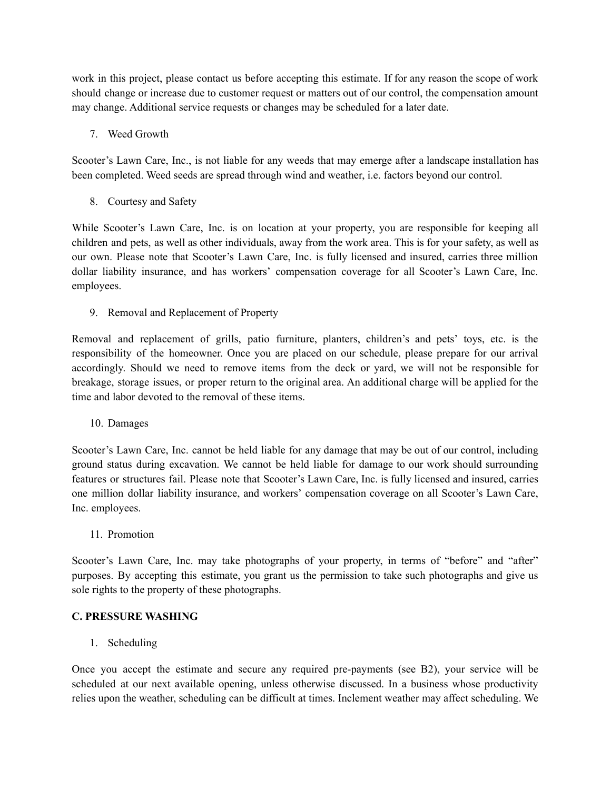work in this project, please contact us before accepting this estimate. If for any reason the scope of work should change or increase due to customer request or matters out of our control, the compensation amount may change. Additional service requests or changes may be scheduled for a later date.

#### 7. Weed Growth

Scooter's Lawn Care, Inc., is not liable for any weeds that may emerge after a landscape installation has been completed. Weed seeds are spread through wind and weather, i.e. factors beyond our control.

8. Courtesy and Safety

While Scooter's Lawn Care, Inc. is on location at your property, you are responsible for keeping all children and pets, as well as other individuals, away from the work area. This is for your safety, as well as our own. Please note that Scooter's Lawn Care, Inc. is fully licensed and insured, carries three million dollar liability insurance, and has workers' compensation coverage for all Scooter's Lawn Care, Inc. employees.

9. Removal and Replacement of Property

Removal and replacement of grills, patio furniture, planters, children's and pets' toys, etc. is the responsibility of the homeowner. Once you are placed on our schedule, please prepare for our arrival accordingly. Should we need to remove items from the deck or yard, we will not be responsible for breakage, storage issues, or proper return to the original area. An additional charge will be applied for the time and labor devoted to the removal of these items.

10. Damages

Scooter's Lawn Care, Inc. cannot be held liable for any damage that may be out of our control, including ground status during excavation. We cannot be held liable for damage to our work should surrounding features or structures fail. Please note that Scooter's Lawn Care, Inc. is fully licensed and insured, carries one million dollar liability insurance, and workers' compensation coverage on all Scooter's Lawn Care, Inc. employees.

11. Promotion

Scooter's Lawn Care, Inc. may take photographs of your property, in terms of "before" and "after" purposes. By accepting this estimate, you grant us the permission to take such photographs and give us sole rights to the property of these photographs.

#### **C. PRESSURE WASHING**

1. Scheduling

Once you accept the estimate and secure any required pre-payments (see B2), your service will be scheduled at our next available opening, unless otherwise discussed. In a business whose productivity relies upon the weather, scheduling can be difficult at times. Inclement weather may affect scheduling. We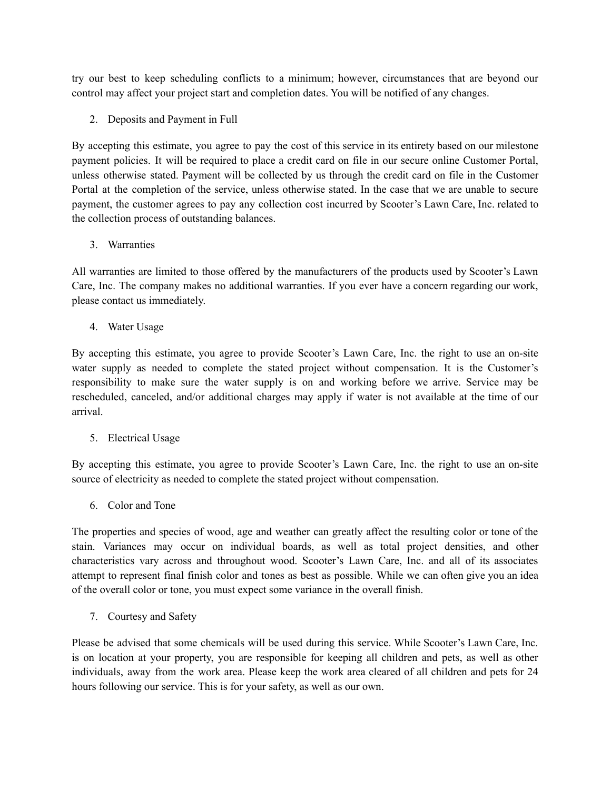try our best to keep scheduling conflicts to a minimum; however, circumstances that are beyond our control may affect your project start and completion dates. You will be notified of any changes.

2. Deposits and Payment in Full

By accepting this estimate, you agree to pay the cost of this service in its entirety based on our milestone payment policies. It will be required to place a credit card on file in our secure online Customer Portal, unless otherwise stated. Payment will be collected by us through the credit card on file in the Customer Portal at the completion of the service, unless otherwise stated. In the case that we are unable to secure payment, the customer agrees to pay any collection cost incurred by Scooter's Lawn Care, Inc. related to the collection process of outstanding balances.

3. Warranties

All warranties are limited to those offered by the manufacturers of the products used by Scooter's Lawn Care, Inc. The company makes no additional warranties. If you ever have a concern regarding our work, please contact us immediately.

4. Water Usage

By accepting this estimate, you agree to provide Scooter's Lawn Care, Inc. the right to use an on-site water supply as needed to complete the stated project without compensation. It is the Customer's responsibility to make sure the water supply is on and working before we arrive. Service may be rescheduled, canceled, and/or additional charges may apply if water is not available at the time of our arrival.

5. Electrical Usage

By accepting this estimate, you agree to provide Scooter's Lawn Care, Inc. the right to use an on-site source of electricity as needed to complete the stated project without compensation.

6. Color and Tone

The properties and species of wood, age and weather can greatly affect the resulting color or tone of the stain. Variances may occur on individual boards, as well as total project densities, and other characteristics vary across and throughout wood. Scooter's Lawn Care, Inc. and all of its associates attempt to represent final finish color and tones as best as possible. While we can often give you an idea of the overall color or tone, you must expect some variance in the overall finish.

7. Courtesy and Safety

Please be advised that some chemicals will be used during this service. While Scooter's Lawn Care, Inc. is on location at your property, you are responsible for keeping all children and pets, as well as other individuals, away from the work area. Please keep the work area cleared of all children and pets for 24 hours following our service. This is for your safety, as well as our own.